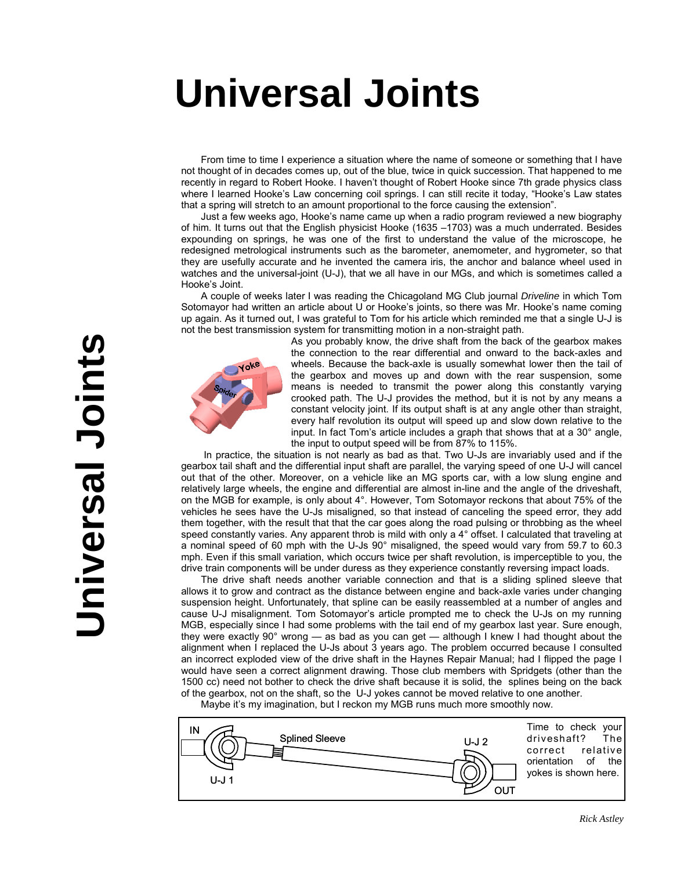## real lainte **The International Local Club Universal Joints Universal Joints**

From time to time I experience a situation where the name of someone or something that I have not thought of in decades comes up, out of the blue, twice in quick succession. That happened to me recently in regard to Robert Hooke. I haven't thought of Robert Hooke since 7th grade physics class where I learned Hooke's Law concerning coil springs. I can still recite it today, "Hooke's Law states that a spring will stretch to an amount proportional to the force causing the extension".

Just a few weeks ago, Hooke's name came up when a radio program reviewed a new biography of him. It turns out that the English physicist Hooke (1635 –1703) was a much underrated. Besides expounding on springs, he was one of the first to understand the value of the microscope, he redesigned metrological instruments such as the barometer, anemometer, and hygrometer, so that they are usefully accurate and he invented the camera iris, the anchor and balance wheel used in watches and the universal-joint (U-J), that we all have in our MGs, and which is sometimes called a Hooke's Joint.

A couple of weeks later I was reading the Chicagoland MG Club journal *Driveline* in which Tom Sotomayor had written an article about U or Hooke's joints, so there was Mr. Hooke's name coming up again. As it turned out, I was grateful to Tom for his article which reminded me that a single U-J is not the best transmission system for transmitting motion in a non-straight path.



As you probably know, the drive shaft from the back of the gearbox makes the connection to the rear differential and onward to the back-axles and wheels. Because the back-axle is usually somewhat lower then the tail of the gearbox and moves up and down with the rear suspension, some means is needed to transmit the power along this constantly varying crooked path. The U-J provides the method, but it is not by any means a constant velocity joint. If its output shaft is at any angle other than straight, every half revolution its output will speed up and slow down relative to the input. In fact Tom's article includes a graph that shows that at a 30° angle, the input to output speed will be from 87% to 115%.

 In practice, the situation is not nearly as bad as that. Two U-Js are invariably used and if the gearbox tail shaft and the differential input shaft are parallel, the varying speed of one U-J will cancel out that of the other. Moreover, on a vehicle like an MG sports car, with a low slung engine and relatively large wheels, the engine and differential are almost in-line and the angle of the driveshaft, on the MGB for example, is only about 4°. However, Tom Sotomayor reckons that about 75% of the vehicles he sees have the U-Js misaligned, so that instead of canceling the speed error, they add them together, with the result that that the car goes along the road pulsing or throbbing as the wheel speed constantly varies. Any apparent throb is mild with only a 4° offset. I calculated that traveling at a nominal speed of 60 mph with the U-Js 90° misaligned, the speed would vary from 59.7 to 60.3 mph. Even if this small variation, which occurs twice per shaft revolution, is imperceptible to you, the drive train components will be under duress as they experience constantly reversing impact loads.

The drive shaft needs another variable connection and that is a sliding splined sleeve that allows it to grow and contract as the distance between engine and back-axle varies under changing suspension height. Unfortunately, that spline can be easily reassembled at a number of angles and cause U-J misalignment. Tom Sotomayor's article prompted me to check the U-Js on my running MGB, especially since I had some problems with the tail end of my gearbox last year. Sure enough, they were exactly 90° wrong — as bad as you can get — although I knew I had thought about the alignment when I replaced the U-Js about 3 years ago. The problem occurred because I consulted an incorrect exploded view of the drive shaft in the Haynes Repair Manual; had I flipped the page I would have seen a correct alignment drawing. Those club members with Spridgets (other than the 1500 cc) need not bother to check the drive shaft because it is solid, the splines being on the back of the gearbox, not on the shaft, so the U-J yokes cannot be moved relative to one another.

Maybe it's my imagination, but I reckon my MGB runs much more smoothly now.